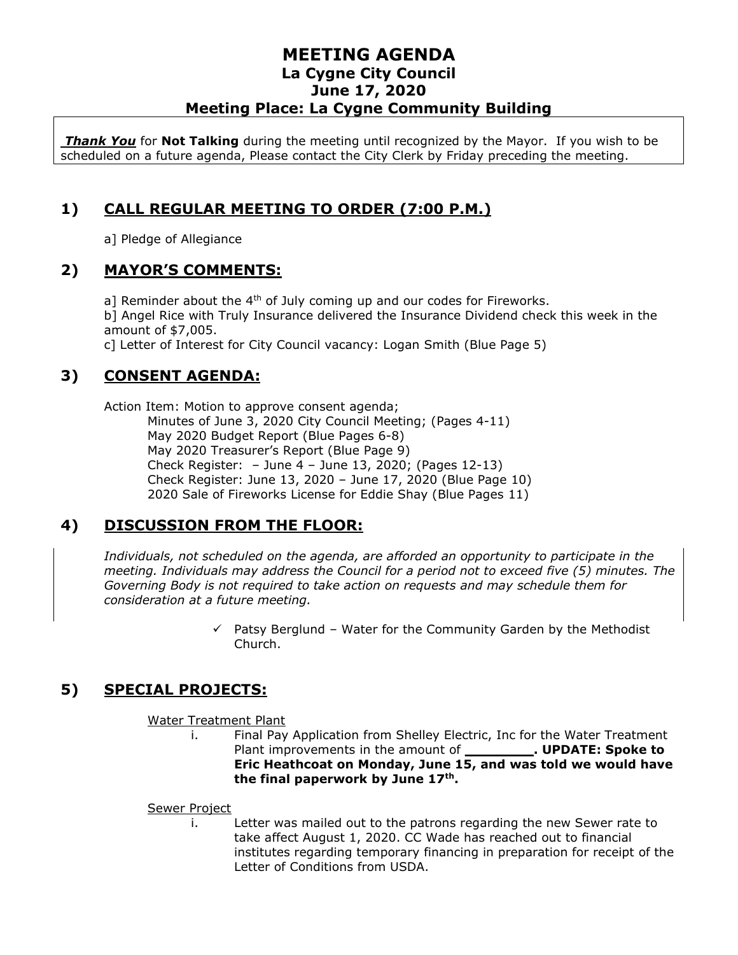*Thank You* for **Not Talking** during the meeting until recognized by the Mayor. If you wish to be scheduled on a future agenda, Please contact the City Clerk by Friday preceding the meeting.

# **1) CALL REGULAR MEETING TO ORDER (7:00 P.M.)**

a] Pledge of Allegiance

### **2) MAYOR'S COMMENTS:**

a] Reminder about the  $4<sup>th</sup>$  of July coming up and our codes for Fireworks. b] Angel Rice with Truly Insurance delivered the Insurance Dividend check this week in the amount of \$7,005.

c] Letter of Interest for City Council vacancy: Logan Smith (Blue Page 5)

# **3) CONSENT AGENDA:**

Action Item: Motion to approve consent agenda;

Minutes of June 3, 2020 City Council Meeting; (Pages 4-11) May 2020 Budget Report (Blue Pages 6-8) May 2020 Treasurer's Report (Blue Page 9) Check Register: – June 4 – June 13, 2020; (Pages 12-13) Check Register: June 13, 2020 – June 17, 2020 (Blue Page 10) 2020 Sale of Fireworks License for Eddie Shay (Blue Pages 11)

# **4) DISCUSSION FROM THE FLOOR:**

*Individuals, not scheduled on the agenda, are afforded an opportunity to participate in the meeting. Individuals may address the Council for a period not to exceed five (5) minutes. The Governing Body is not required to take action on requests and may schedule them for consideration at a future meeting.* 

> $\checkmark$  Patsy Berglund – Water for the Community Garden by the Methodist Church.

# **5) SPECIAL PROJECTS:**

Water Treatment Plant

i. Final Pay Application from Shelley Electric, Inc for the Water Treatment Plant improvements in the amount of **\_\_\_\_\_\_\_\_. UPDATE: Spoke to Eric Heathcoat on Monday, June 15, and was told we would have the final paperwork by June 17th .** 

#### Sewer Project

i. Letter was mailed out to the patrons regarding the new Sewer rate to take affect August 1, 2020. CC Wade has reached out to financial institutes regarding temporary financing in preparation for receipt of the Letter of Conditions from USDA.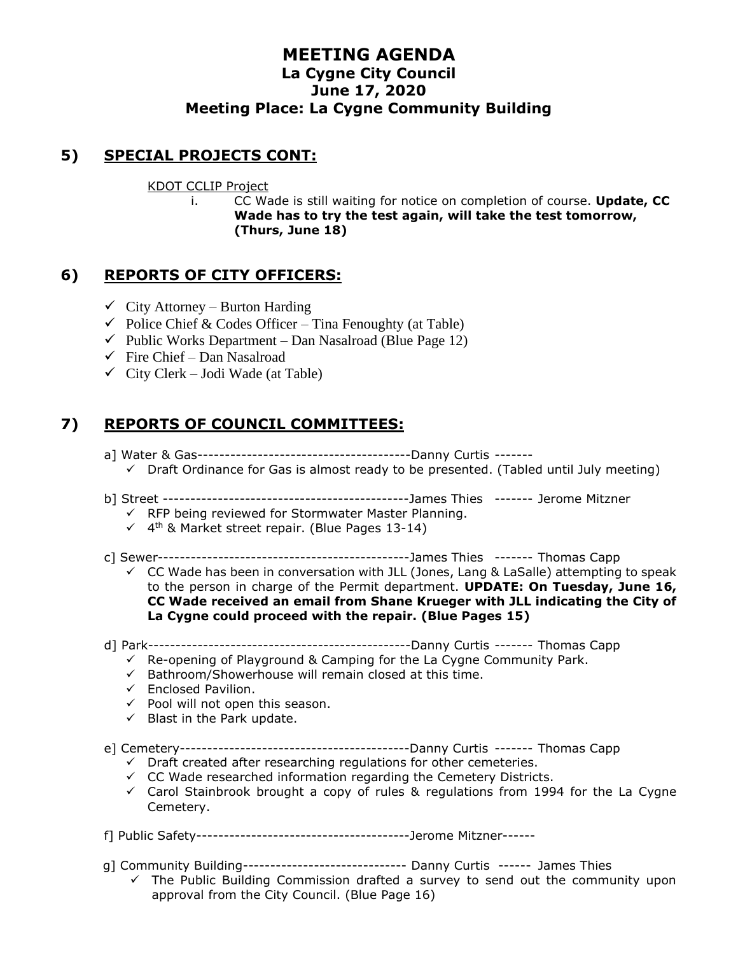# **5) SPECIAL PROJECTS CONT:**

#### KDOT CCLIP Project

i. CC Wade is still waiting for notice on completion of course. **Update, CC Wade has to try the test again, will take the test tomorrow, (Thurs, June 18)**

### **6) REPORTS OF CITY OFFICERS:**

- $\checkmark$  City Attorney Burton Harding
- $\checkmark$  Police Chief & Codes Officer Tina Fenoughty (at Table)
- $\checkmark$  Public Works Department Dan Nasalroad (Blue Page 12)
- $\checkmark$  Fire Chief Dan Nasalroad
- $\checkmark$  City Clerk Jodi Wade (at Table)

# **7) REPORTS OF COUNCIL COMMITTEES:**

- a] Water & Gas---------------------------------------Danny Curtis -------
- $\checkmark$  Draft Ordinance for Gas is almost ready to be presented. (Tabled until July meeting)
- b] Street ---------------------------------------------James Thies ------- Jerome Mitzner
	- $\checkmark$  RFP being reviewed for Stormwater Master Planning.
	- $\checkmark$  4<sup>th</sup> & Market street repair. (Blue Pages 13-14)
- c] Sewer----------------------------------------------James Thies ------- Thomas Capp
	- $\checkmark$  CC Wade has been in conversation with JLL (Jones, Lang & LaSalle) attempting to speak to the person in charge of the Permit department. **UPDATE: On Tuesday, June 16, CC Wade received an email from Shane Krueger with JLL indicating the City of La Cygne could proceed with the repair. (Blue Pages 15)**
- d] Park------------------------------------------------Danny Curtis ------- Thomas Capp
	- $\checkmark$  Re-opening of Playground & Camping for the La Cygne Community Park.
	- ✓ Bathroom/Showerhouse will remain closed at this time.
	- ✓ Enclosed Pavilion.
	- $\checkmark$  Pool will not open this season.
	- $\checkmark$  Blast in the Park update.
- e] Cemetery------------------------------------------Danny Curtis ------- Thomas Capp
	- $\checkmark$  Draft created after researching regulations for other cemeteries.
	- $\checkmark$  CC Wade researched information regarding the Cemetery Districts.
	- $\checkmark$  Carol Stainbrook brought a copy of rules & regulations from 1994 for the La Cygne Cemetery.
- f] Public Safety---------------------------------------Jerome Mitzner------
- g] Community Building------------------------------ Danny Curtis ------ James Thies
	- $\checkmark$  The Public Building Commission drafted a survey to send out the community upon approval from the City Council. (Blue Page 16)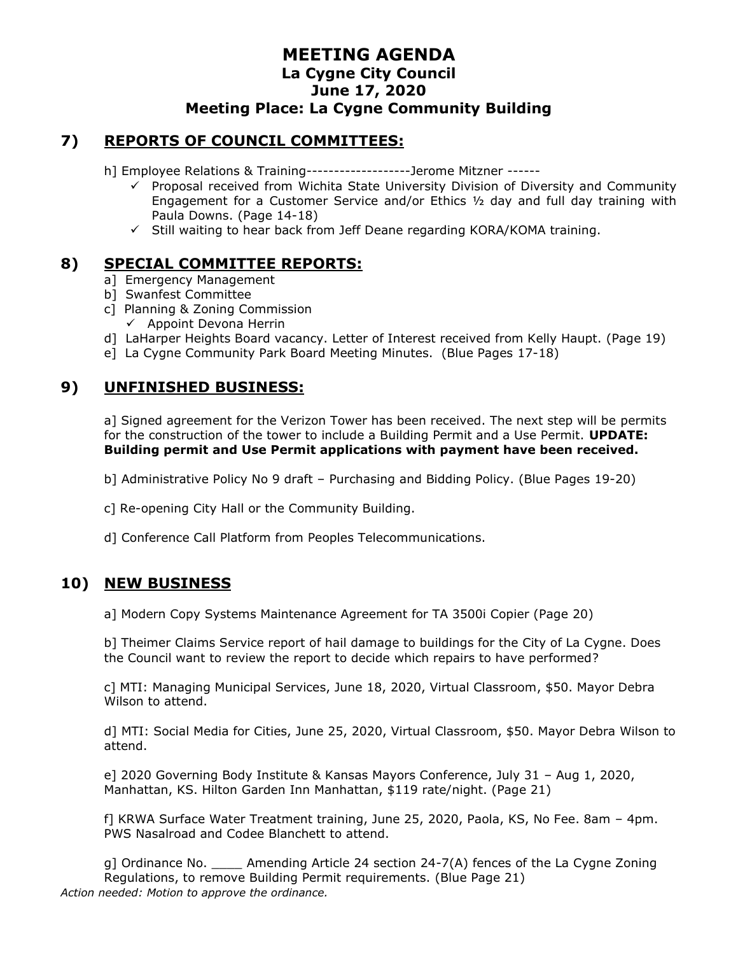#### **7) REPORTS OF COUNCIL COMMITTEES:**

h] Employee Relations & Training-------------------Jerome Mitzner ------

- $\checkmark$  Proposal received from Wichita State University Division of Diversity and Community Engagement for a Customer Service and/or Ethics  $\frac{1}{2}$  day and full day training with Paula Downs. (Page 14-18)
- $\checkmark$  Still waiting to hear back from Jeff Deane regarding KORA/KOMA training.

### **8) SPECIAL COMMITTEE REPORTS:**

- a] Emergency Management
- b] Swanfest Committee
- c] Planning & Zoning Commission
	- $\checkmark$  Appoint Devona Herrin
- d] LaHarper Heights Board vacancy. Letter of Interest received from Kelly Haupt. (Page 19)
- e] La Cygne Community Park Board Meeting Minutes. (Blue Pages 17-18)

# **9) UNFINISHED BUSINESS:**

a] Signed agreement for the Verizon Tower has been received. The next step will be permits for the construction of the tower to include a Building Permit and a Use Permit. **UPDATE: Building permit and Use Permit applications with payment have been received.**

- b] Administrative Policy No 9 draft Purchasing and Bidding Policy. (Blue Pages 19-20)
- c] Re-opening City Hall or the Community Building.
- d] Conference Call Platform from Peoples Telecommunications.

# **10) NEW BUSINESS**

a] Modern Copy Systems Maintenance Agreement for TA 3500i Copier (Page 20)

b] Theimer Claims Service report of hail damage to buildings for the City of La Cygne. Does the Council want to review the report to decide which repairs to have performed?

c] MTI: Managing Municipal Services, June 18, 2020, Virtual Classroom, \$50. Mayor Debra Wilson to attend.

d] MTI: Social Media for Cities, June 25, 2020, Virtual Classroom, \$50. Mayor Debra Wilson to attend.

e] 2020 Governing Body Institute & Kansas Mayors Conference, July 31 – Aug 1, 2020, Manhattan, KS. Hilton Garden Inn Manhattan, \$119 rate/night. (Page 21)

f] KRWA Surface Water Treatment training, June 25, 2020, Paola, KS, No Fee. 8am – 4pm. PWS Nasalroad and Codee Blanchett to attend.

g] Ordinance No. \_\_\_\_ Amending Article 24 section 24-7(A) fences of the La Cygne Zoning Regulations, to remove Building Permit requirements. (Blue Page 21) *Action needed: Motion to approve the ordinance.*